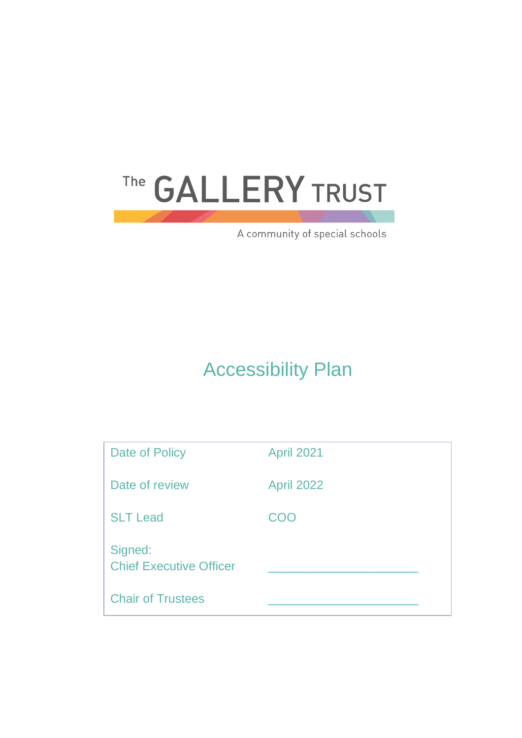# The GALLERY TRUST

A community of special schools

# Accessibility Plan

| Date of Policy                            | <b>April 2021</b> |
|-------------------------------------------|-------------------|
| Date of review                            | <b>April 2022</b> |
| <b>SLT Lead</b>                           | COO               |
| Signed:<br><b>Chief Executive Officer</b> |                   |
| <b>Chair of Trustees</b>                  |                   |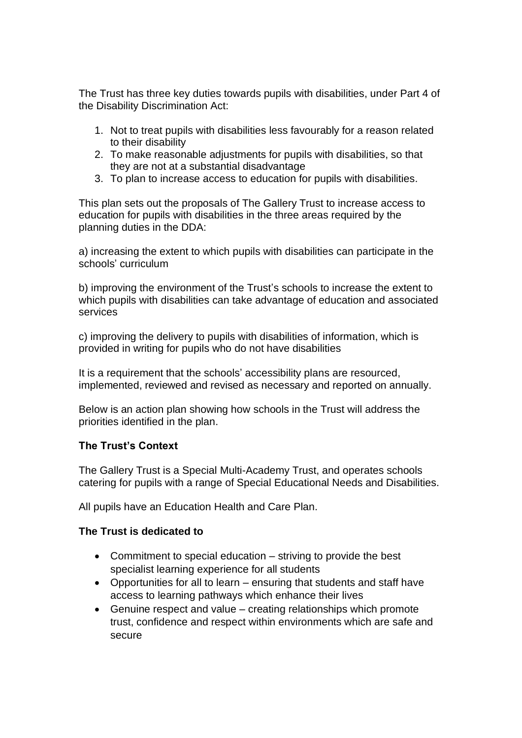The Trust has three key duties towards pupils with disabilities, under Part 4 of the Disability Discrimination Act:

- 1. Not to treat pupils with disabilities less favourably for a reason related to their disability
- 2. To make reasonable adjustments for pupils with disabilities, so that they are not at a substantial disadvantage
- 3. To plan to increase access to education for pupils with disabilities.

This plan sets out the proposals of The Gallery Trust to increase access to education for pupils with disabilities in the three areas required by the planning duties in the DDA:

a) increasing the extent to which pupils with disabilities can participate in the schools' curriculum

b) improving the environment of the Trust's schools to increase the extent to which pupils with disabilities can take advantage of education and associated services

c) improving the delivery to pupils with disabilities of information, which is provided in writing for pupils who do not have disabilities

It is a requirement that the schools' accessibility plans are resourced, implemented, reviewed and revised as necessary and reported on annually.

Below is an action plan showing how schools in the Trust will address the priorities identified in the plan.

## **The Trust's Context**

The Gallery Trust is a Special Multi-Academy Trust, and operates schools catering for pupils with a range of Special Educational Needs and Disabilities.

All pupils have an Education Health and Care Plan.

## **The Trust is dedicated to**

- Commitment to special education striving to provide the best specialist learning experience for all students
- Opportunities for all to learn ensuring that students and staff have access to learning pathways which enhance their lives
- Genuine respect and value creating relationships which promote trust, confidence and respect within environments which are safe and secure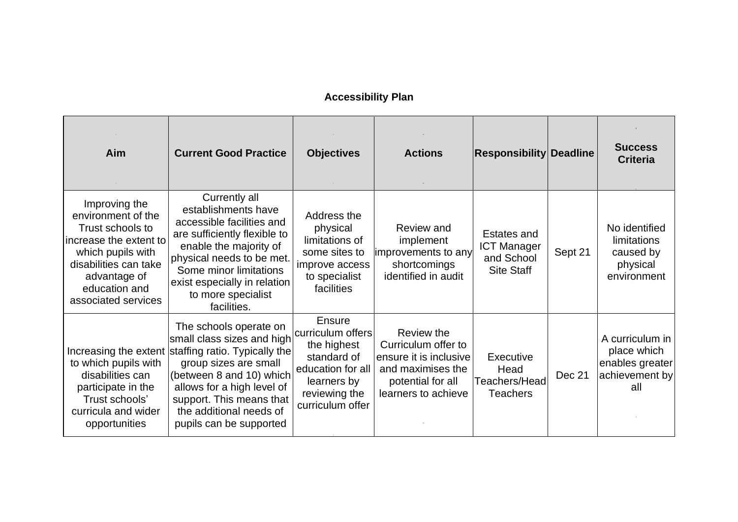# **Accessibility Plan**

| Aim                                                                                                                                                                                     | <b>Current Good Practice</b>                                                                                                                                                                                                                                                     | <b>Objectives</b>                                                                                                                         | <b>Actions</b>                                                                                                               | <b>Responsibility Deadline</b>                                       |         | <b>Success</b><br><b>Criteria</b>                                          |
|-----------------------------------------------------------------------------------------------------------------------------------------------------------------------------------------|----------------------------------------------------------------------------------------------------------------------------------------------------------------------------------------------------------------------------------------------------------------------------------|-------------------------------------------------------------------------------------------------------------------------------------------|------------------------------------------------------------------------------------------------------------------------------|----------------------------------------------------------------------|---------|----------------------------------------------------------------------------|
| Improving the<br>environment of the<br>Trust schools to<br>increase the extent to<br>which pupils with<br>disabilities can take<br>advantage of<br>education and<br>associated services | Currently all<br>establishments have<br>accessible facilities and<br>are sufficiently flexible to<br>enable the majority of<br>physical needs to be met.<br>Some minor limitations<br>exist especially in relation<br>to more specialist<br>facilities.                          | Address the<br>physical<br>limitations of<br>some sites to<br>improve access<br>to specialist<br>facilities                               | Review and<br>implement<br>improvements to any<br>shortcomings<br>identified in audit                                        | Estates and<br><b>ICT Manager</b><br>and School<br><b>Site Staff</b> | Sept 21 | No identified<br>limitations<br>caused by<br>physical<br>environment       |
| to which pupils with<br>disabilities can<br>participate in the<br>Trust schools'<br>curricula and wider<br>opportunities                                                                | The schools operate on<br>small class sizes and high<br>Increasing the extent staffing ratio. Typically the<br>group sizes are small<br>(between 8 and 10) which<br>allows for a high level of<br>support. This means that<br>the additional needs of<br>pupils can be supported | <b>Ensure</b><br>curriculum offers<br>the highest<br>standard of<br>education for all<br>learners by<br>reviewing the<br>curriculum offer | Review the<br>Curriculum offer to<br>ensure it is inclusive<br>and maximises the<br>potential for all<br>learners to achieve | Executive<br>Head<br>Teachers/Head<br>Teachers                       | Dec 21  | A curriculum in<br>place which<br>enables greater<br>achievement by<br>all |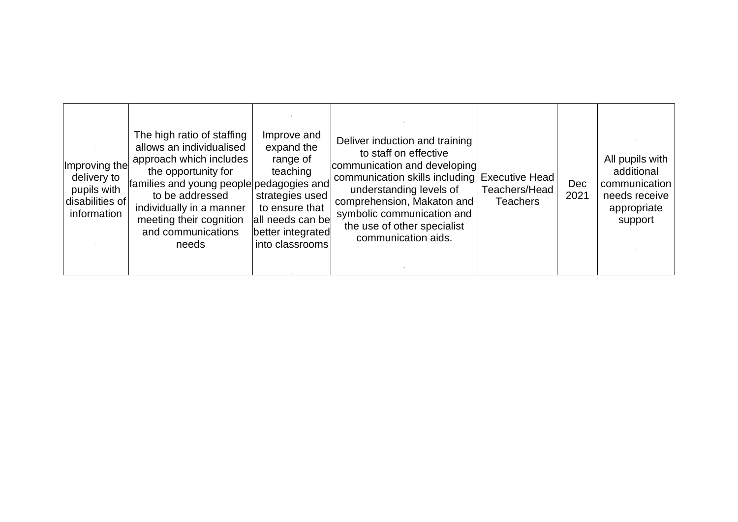| Improving the<br>delivery to<br>pupils with<br>disabilities of<br>information | The high ratio of staffing<br>allows an individualised<br>approach which includes<br>the opportunity for<br>families and young people pedagogies and<br>to be addressed<br>individually in a manner<br>meeting their cognition<br>and communications<br>needs | Improve and<br>expand the<br>range of<br>teaching<br>strategies used<br>to ensure that<br>all needs can be<br>better integrated<br>into classrooms | Deliver induction and training<br>to staff on effective<br>communication and developing<br>communication skills including Executive Head<br>understanding levels of<br>comprehension, Makaton and<br>symbolic communication and<br>the use of other specialist<br>communication aids. | Teachers/Head<br><b>Teachers</b> | Dec<br>2021 | All pupils with<br>additional<br>communication<br>needs receive<br>appropriate<br>support |
|-------------------------------------------------------------------------------|---------------------------------------------------------------------------------------------------------------------------------------------------------------------------------------------------------------------------------------------------------------|----------------------------------------------------------------------------------------------------------------------------------------------------|---------------------------------------------------------------------------------------------------------------------------------------------------------------------------------------------------------------------------------------------------------------------------------------|----------------------------------|-------------|-------------------------------------------------------------------------------------------|
|-------------------------------------------------------------------------------|---------------------------------------------------------------------------------------------------------------------------------------------------------------------------------------------------------------------------------------------------------------|----------------------------------------------------------------------------------------------------------------------------------------------------|---------------------------------------------------------------------------------------------------------------------------------------------------------------------------------------------------------------------------------------------------------------------------------------|----------------------------------|-------------|-------------------------------------------------------------------------------------------|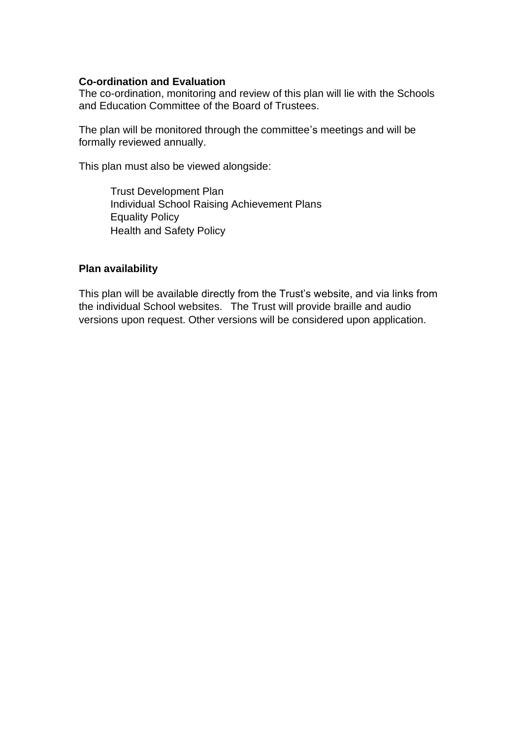#### **Co-ordination and Evaluation**

The co-ordination, monitoring and review of this plan will lie with the Schools and Education Committee of the Board of Trustees.

The plan will be monitored through the committee's meetings and will be formally reviewed annually.

This plan must also be viewed alongside:

Trust Development Plan Individual School Raising Achievement Plans Equality Policy Health and Safety Policy

#### **Plan availability**

This plan will be available directly from the Trust's website, and via links from the individual School websites. The Trust will provide braille and audio versions upon request. Other versions will be considered upon application.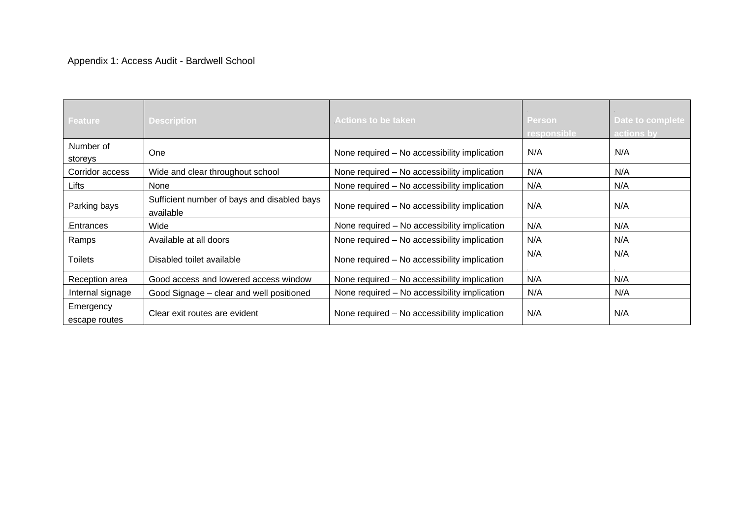| Feature                    | <b>Description</b>                                       | <b>Actions to be taken</b>                   | <b>Person</b><br>responsible | Date to complete<br>actions by |
|----------------------------|----------------------------------------------------------|----------------------------------------------|------------------------------|--------------------------------|
| Number of<br>storeys       | <b>One</b>                                               | None required - No accessibility implication | .N/A                         | N/A                            |
| Corridor access            | Wide and clear throughout school                         | None required - No accessibility implication | N/A                          | N/A                            |
| Lifts                      | None                                                     | None required – No accessibility implication | N/A                          | N/A                            |
| Parking bays               | Sufficient number of bays and disabled bays<br>available | None required - No accessibility implication | N/A                          | N/A                            |
| Entrances                  | Wide                                                     | None required - No accessibility implication | N/A                          | N/A                            |
| Ramps                      | Available at all doors                                   | None required - No accessibility implication | N/A                          | N/A                            |
| <b>Toilets</b>             | Disabled toilet available                                | None required - No accessibility implication | N/A                          | N/A                            |
| Reception area             | Good access and lowered access window                    | None required - No accessibility implication | N/A                          | N/A                            |
| Internal signage           | Good Signage – clear and well positioned                 | None required – No accessibility implication | .N/A                         | N/A                            |
| Emergency<br>escape routes | Clear exit routes are evident                            | None required – No accessibility implication | N/A                          | N/A                            |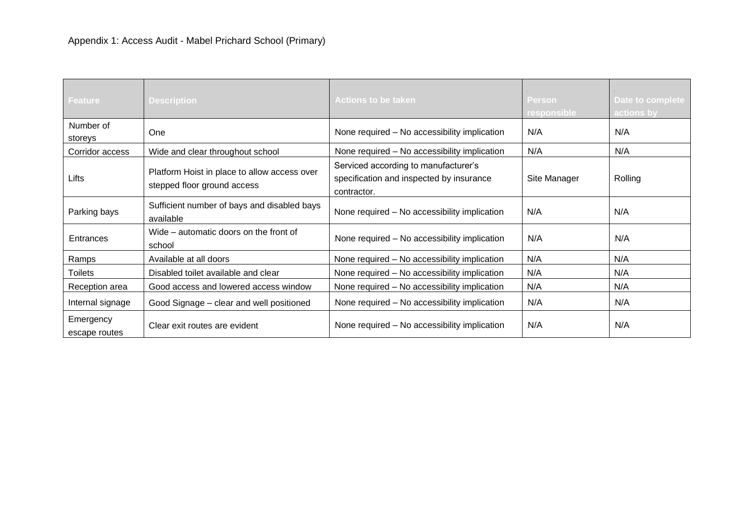| Feature                    | <b>Description</b>                                                          | <b>Actions to be taken</b>                                                                      | <b>Person</b><br>responsible | Date to complete<br>actions by |
|----------------------------|-----------------------------------------------------------------------------|-------------------------------------------------------------------------------------------------|------------------------------|--------------------------------|
| Number of<br>storeys       | One                                                                         | None required – No accessibility implication                                                    | N/A                          | .N/A                           |
| Corridor access            | Wide and clear throughout school                                            | None required - No accessibility implication                                                    | .N/A                         | N/A                            |
| Lifts                      | Platform Hoist in place to allow access over<br>stepped floor ground access | Serviced according to manufacturer's<br>specification and inspected by insurance<br>contractor. | Site Manager                 | Rolling                        |
| Parking bays               | Sufficient number of bays and disabled bays<br>available                    | None required - No accessibility implication                                                    | N/A                          | N/A                            |
| Entrances                  | Wide – automatic doors on the front of<br>school                            | None required – No accessibility implication                                                    | N/A                          | N/A                            |
| Ramps                      | Available at all doors                                                      | None required - No accessibility implication                                                    | N/A                          | N/A                            |
| <b>Toilets</b>             | Disabled toilet available and clear                                         | None required - No accessibility implication                                                    | N/A                          | N/A                            |
| Reception area             | Good access and lowered access window                                       | None required - No accessibility implication                                                    | N/A                          | N/A                            |
| Internal signage           | Good Signage - clear and well positioned                                    | None required - No accessibility implication                                                    | N/A                          | N/A                            |
| Emergency<br>escape routes | Clear exit routes are evident                                               | None required – No accessibility implication                                                    | N/A                          | N/A                            |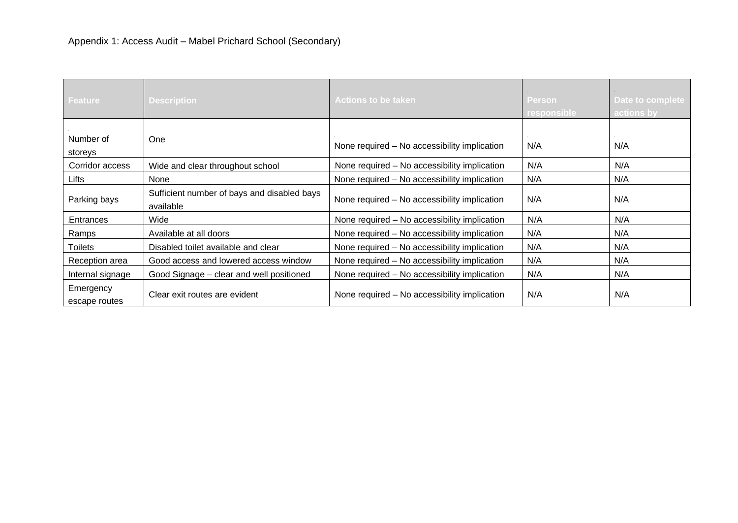| <b>Feature</b>             | <b>Description</b>                                       | <b>Actions to be taken</b>                   | Person<br>responsible | Date to complete<br>actions by |
|----------------------------|----------------------------------------------------------|----------------------------------------------|-----------------------|--------------------------------|
| Number of<br>storeys       | <b>One</b>                                               | None required - No accessibility implication | N/A                   | N/A                            |
| Corridor access            | Wide and clear throughout school                         | None required – No accessibility implication | .N/A                  | .N/A                           |
| Lifts                      | None                                                     | None required - No accessibility implication | N/A                   | N/A                            |
| Parking bays               | Sufficient number of bays and disabled bays<br>available | None required - No accessibility implication | N/A                   | N/A                            |
| Entrances                  | Wide                                                     | None required - No accessibility implication | .N/A                  | N/A                            |
| Ramps                      | Available at all doors                                   | None required - No accessibility implication | N/A                   | N/A                            |
| <b>Toilets</b>             | Disabled toilet available and clear                      | None required - No accessibility implication | N/A                   | N/A                            |
| Reception area             | Good access and lowered access window                    | None required - No accessibility implication | N/A                   | N/A                            |
| Internal signage           | Good Signage – clear and well positioned                 | None required - No accessibility implication | N/A                   | N/A                            |
| Emergency<br>escape routes | Clear exit routes are evident                            | None required – No accessibility implication | .N/A                  | .N/A                           |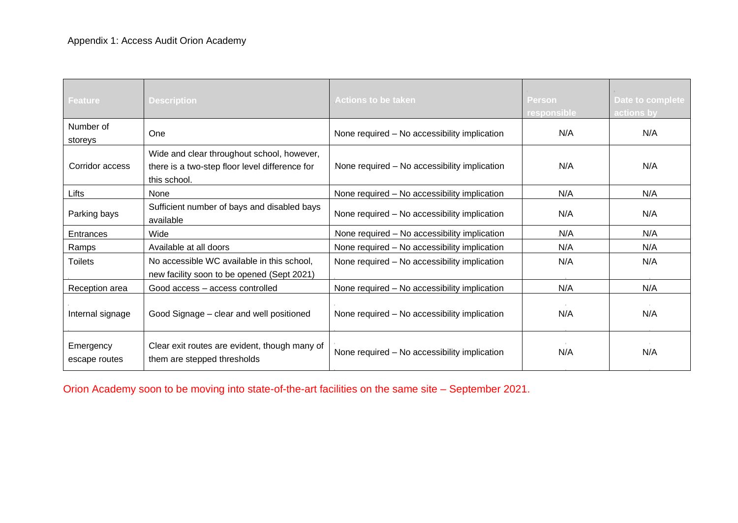| Feature                    | <b>Description</b>                                                                                           | <b>Actions to be taken</b>                   | <b>Person</b><br>responsible | Date to complete<br>actions by |
|----------------------------|--------------------------------------------------------------------------------------------------------------|----------------------------------------------|------------------------------|--------------------------------|
| Number of<br>storeys       | <b>One</b>                                                                                                   | None required – No accessibility implication | N/A                          | N/A                            |
| Corridor access            | Wide and clear throughout school, however,<br>there is a two-step floor level difference for<br>this school. | None required - No accessibility implication | N/A                          | N/A                            |
| Lifts                      | None                                                                                                         | None required - No accessibility implication | N/A                          | N/A                            |
| Parking bays               | Sufficient number of bays and disabled bays<br>available                                                     | None required - No accessibility implication | N/A                          | N/A                            |
| Entrances                  | Wide                                                                                                         | None required - No accessibility implication | N/A                          | N/A                            |
| Ramps                      | Available at all doors                                                                                       | None required - No accessibility implication | N/A                          | N/A                            |
| <b>Toilets</b>             | No accessible WC available in this school,<br>new facility soon to be opened (Sept 2021)                     | None required - No accessibility implication | N/A                          | N/A                            |
| Reception area             | Good access - access controlled                                                                              | None required – No accessibility implication | N/A                          | N/A                            |
| Internal signage           | Good Signage – clear and well positioned                                                                     | None required – No accessibility implication | N/A                          | N/A                            |
| Emergency<br>escape routes | Clear exit routes are evident, though many of<br>them are stepped thresholds                                 | None required - No accessibility implication | N/A                          | N/A                            |

Orion Academy soon to be moving into state-of-the-art facilities on the same site – September 2021.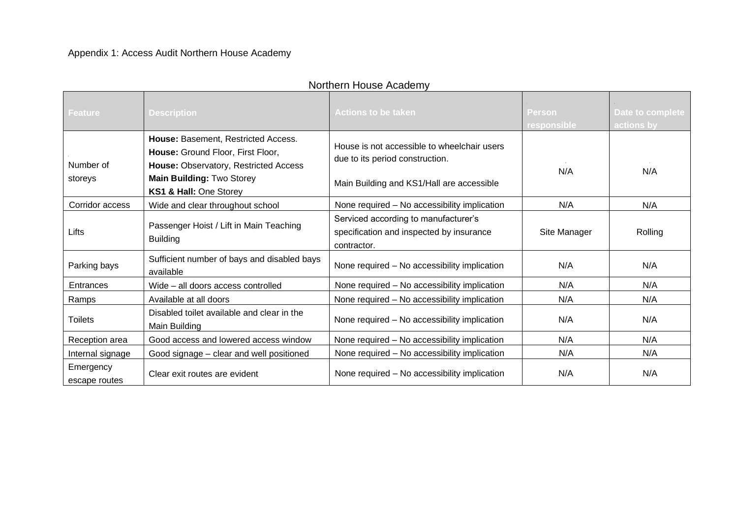| Feature                    | <b>Description</b>                                                                                                                                                       | <b>Actions to be taken</b>                                                                                                  | Person<br>responsible | Date to complete<br>actions by |
|----------------------------|--------------------------------------------------------------------------------------------------------------------------------------------------------------------------|-----------------------------------------------------------------------------------------------------------------------------|-----------------------|--------------------------------|
| Number of<br>storeys       | House: Basement, Restricted Access.<br>House: Ground Floor, First Floor,<br>House: Observatory, Restricted Access<br>Main Building: Two Storey<br>KS1 & Hall: One Storey | House is not accessible to wheelchair users<br>due to its period construction.<br>Main Building and KS1/Hall are accessible | N/A                   | N/A                            |
| Corridor access            | Wide and clear throughout school                                                                                                                                         | None required - No accessibility implication                                                                                | N/A                   | N/A                            |
| Lifts                      | Passenger Hoist / Lift in Main Teaching<br><b>Building</b>                                                                                                               | Serviced according to manufacturer's<br>specification and inspected by insurance<br>contractor.                             | Site Manager          | Rolling                        |
| Parking bays               | Sufficient number of bays and disabled bays<br>available                                                                                                                 | None required - No accessibility implication                                                                                | N/A                   | N/A                            |
| Entrances                  | Wide - all doors access controlled                                                                                                                                       | None required - No accessibility implication                                                                                | N/A                   | .N/A                           |
| Ramps                      | Available at all doors                                                                                                                                                   | None required - No accessibility implication                                                                                | N/A                   | N/A                            |
| <b>Toilets</b>             | Disabled toilet available and clear in the<br>Main Building                                                                                                              | None required - No accessibility implication                                                                                | N/A                   | N/A                            |
| Reception area             | Good access and lowered access window                                                                                                                                    | None required - No accessibility implication                                                                                | N/A                   | N/A                            |
| Internal signage           | Good signage – clear and well positioned                                                                                                                                 | None required - No accessibility implication                                                                                | N/A                   | N/A                            |
| Emergency<br>escape routes | Clear exit routes are evident                                                                                                                                            | None required - No accessibility implication                                                                                | N/A                   | N/A                            |

# Northern House Academy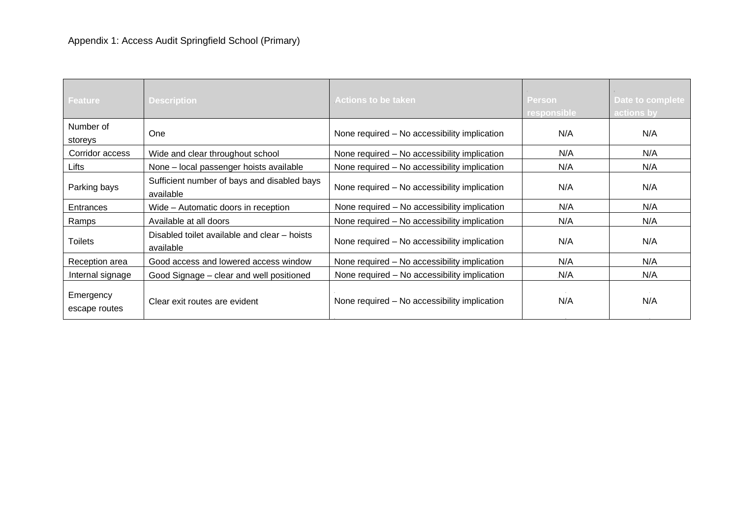| Feature                    | <b>Description</b>                                        | <b>Actions to be taken</b>                   | <b>Person</b><br>responsible | Date to complete<br>actions by |
|----------------------------|-----------------------------------------------------------|----------------------------------------------|------------------------------|--------------------------------|
| Number of<br>storeys       | <b>One</b>                                                | None required – No accessibility implication | N/A                          | N/A                            |
| Corridor access            | Wide and clear throughout school                          | None required – No accessibility implication | N/A                          | N/A                            |
| Lifts                      | None - local passenger hoists available                   | None required – No accessibility implication | N/A                          | N/A                            |
| Parking bays               | Sufficient number of bays and disabled bays<br>available  | None required - No accessibility implication | N/A                          | N/A                            |
| Entrances                  | Wide – Automatic doors in reception                       | None required - No accessibility implication | N/A                          | N/A                            |
| Ramps                      | Available at all doors                                    | None required - No accessibility implication | N/A                          | N/A                            |
| <b>Toilets</b>             | Disabled toilet available and clear – hoists<br>available | None required - No accessibility implication | N/A                          | N/A                            |
| Reception area             | Good access and lowered access window                     | None required - No accessibility implication | N/A                          | N/A                            |
| Internal signage           | Good Signage – clear and well positioned                  | None required – No accessibility implication | N/A                          | N/A                            |
| Emergency<br>escape routes | Clear exit routes are evident                             | None required – No accessibility implication | N/A                          | N/A                            |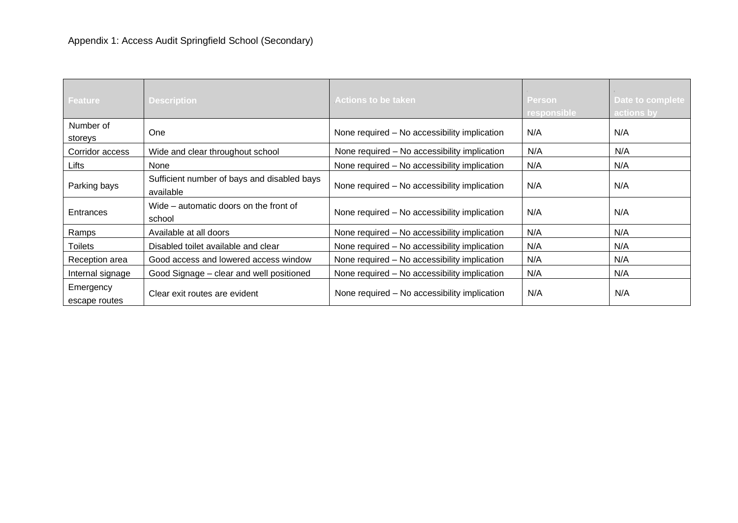| <b>Feature</b>             | <b>Description</b>                                       | <b>Actions to be taken</b>                   | <b>Person</b><br>responsible | Date to complete<br>actions by |
|----------------------------|----------------------------------------------------------|----------------------------------------------|------------------------------|--------------------------------|
| Number of<br>storeys       | <b>One</b>                                               | None required - No accessibility implication | N/A                          | N/A                            |
| Corridor access            | Wide and clear throughout school                         | None required - No accessibility implication | N/A                          | N/A                            |
| Lifts                      | None                                                     | None required - No accessibility implication | N/A                          | N/A                            |
| Parking bays               | Sufficient number of bays and disabled bays<br>available | None required – No accessibility implication | N/A                          | N/A                            |
| Entrances                  | Wide – automatic doors on the front of<br>school         | None required - No accessibility implication | N/A                          | N/A                            |
| Ramps                      | Available at all doors                                   | None required – No accessibility implication | N/A                          | N/A                            |
| <b>Toilets</b>             | Disabled toilet available and clear                      | None required - No accessibility implication | N/A                          | N/A                            |
| Reception area             | Good access and lowered access window                    | None required - No accessibility implication | N/A                          | N/A                            |
| Internal signage           | Good Signage – clear and well positioned                 | None required - No accessibility implication | N/A                          | N/A                            |
| Emergency<br>escape routes | Clear exit routes are evident                            | None required – No accessibility implication | .N/A                         | .N/A                           |